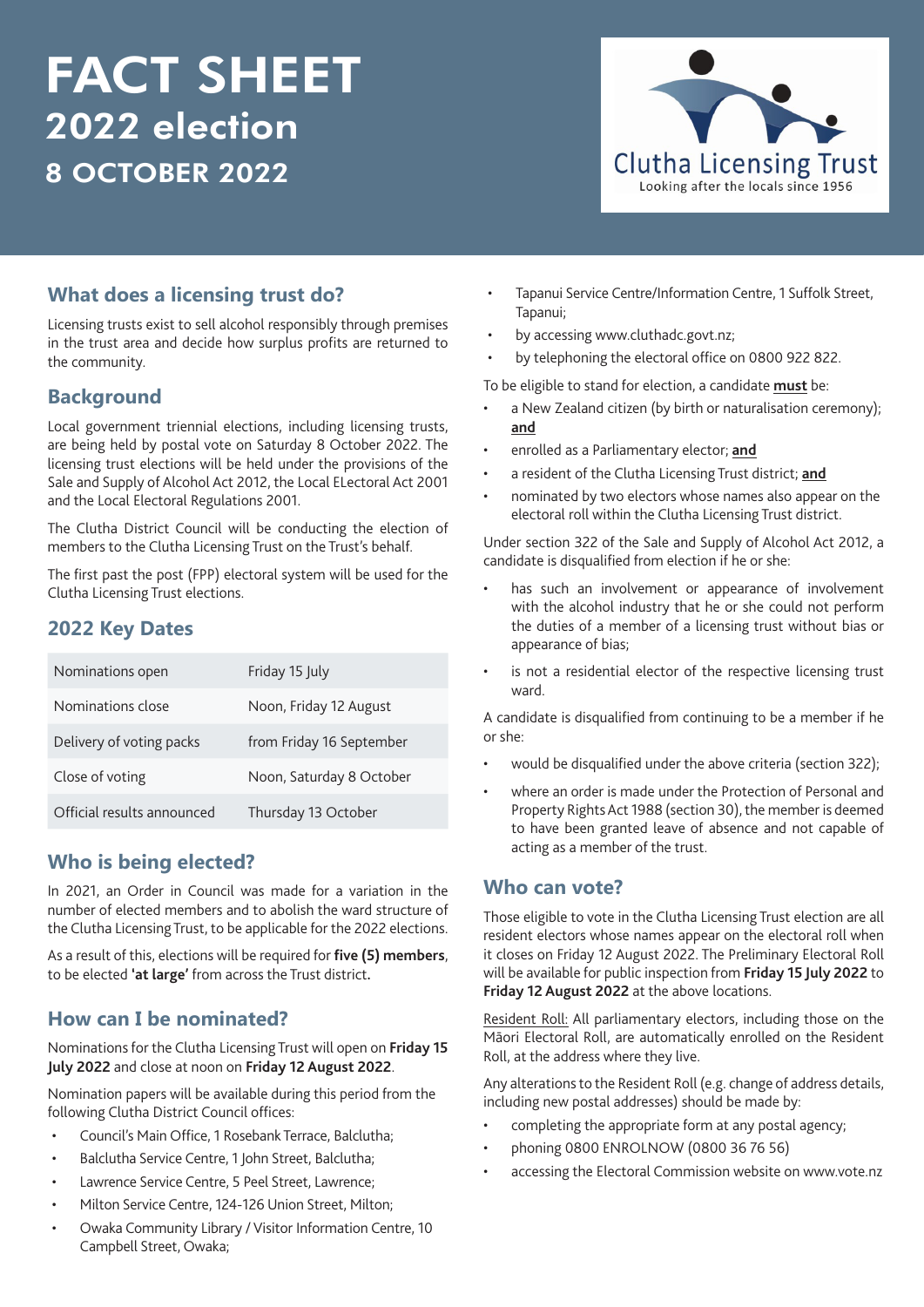# FACT SHEET 2022 election 8 OCTOBER 2022



## **What does a licensing trust do?**

Licensing trusts exist to sell alcohol responsibly through premises in the trust area and decide how surplus profits are returned to the community.

#### **Background**

Local government triennial elections, including licensing trusts, are being held by postal vote on Saturday 8 October 2022. The licensing trust elections will be held under the provisions of the Sale and Supply of Alcohol Act 2012, the Local ELectoral Act 2001 and the Local Electoral Regulations 2001.

The Clutha District Council will be conducting the election of members to the Clutha Licensing Trust on the Trust's behalf.

The first past the post (FPP) electoral system will be used for the Clutha Licensing Trust elections.

### **2022 Key Dates**

| Nominations open           | Friday 15 July           |
|----------------------------|--------------------------|
| Nominations close          | Noon, Friday 12 August   |
| Delivery of voting packs   | from Friday 16 September |
| Close of voting            | Noon, Saturday 8 October |
| Official results announced | Thursday 13 October      |

## **Who is being elected?**

In 2021, an Order in Council was made for a variation in the number of elected members and to abolish the ward structure of the Clutha Licensing Trust, to be applicable for the 2022 elections.

As a result of this, elections will be required for **five (5) members**, to be elected **'at large'** from across the Trust district**.**

## **How can I be nominated?**

Nominations for the Clutha Licensing Trust will open on **Friday 15 July 2022** and close at noon on **Friday 12 August 2022**.

Nomination papers will be available during this period from the following Clutha District Council offices:

- Council's Main Office, 1 Rosebank Terrace, Balclutha;
- Balclutha Service Centre, 1 John Street, Balclutha;
- Lawrence Service Centre, 5 Peel Street, Lawrence;
- Milton Service Centre, 124-126 Union Street, Milton;
- Owaka Community Library / Visitor Information Centre, 10 Campbell Street, Owaka;
- Tapanui Service Centre/Information Centre, 1 Suffolk Street, Tapanui;
- by accessing www.cluthadc.govt.nz;
- by telephoning the electoral office on 0800 922 822.

To be eligible to stand for election, a candidate **must** be:

- a New Zealand citizen (by birth or naturalisation ceremony); **and**
- enrolled as a Parliamentary elector; **and**
- a resident of the Clutha Licensing Trust district; **and**
- nominated by two electors whose names also appear on the electoral roll within the Clutha Licensing Trust district.

Under section 322 of the Sale and Supply of Alcohol Act 2012, a candidate is disqualified from election if he or she:

- has such an involvement or appearance of involvement with the alcohol industry that he or she could not perform the duties of a member of a licensing trust without bias or appearance of bias;
- is not a residential elector of the respective licensing trust ward.

A candidate is disqualified from continuing to be a member if he or she:

- would be disqualified under the above criteria (section 322);
- where an order is made under the Protection of Personal and Property Rights Act 1988 (section 30), the member is deemed to have been granted leave of absence and not capable of acting as a member of the trust.

#### **Who can vote?**

Those eligible to vote in the Clutha Licensing Trust election are all resident electors whose names appear on the electoral roll when it closes on Friday 12 August 2022. The Preliminary Electoral Roll will be available for public inspection from **Friday 15 July 2022** to **Friday 12 August 2022** at the above locations.

Resident Roll: All parliamentary electors, including those on the Māori Electoral Roll, are automatically enrolled on the Resident Roll, at the address where they live.

Any alterations to the Resident Roll (e.g. change of address details, including new postal addresses) should be made by:

- completing the appropriate form at any postal agency;
- phoning 0800 ENROLNOW (0800 36 76 56)
- accessing the Electoral Commission website on www.vote.nz